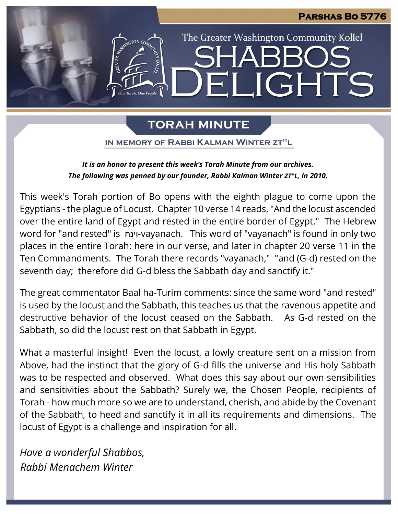### **Parshas Bo 5776**

# **IGHTS**  $\mathbf{E}$

The Greater Washington Community Kollel

### **TORAH MINUTE**

IN MEMORY OF RABBI KALMAN WINTER ZT"L

### *It is an honor to present this week's Torah Minute from our archives. The following was penned by our founder, Rabbi Kalman Winter ZT"L, in 2010.*

This week's Torah portion of Bo opens with the eighth plague to come upon the Egyptians - the plague of Locust. Chapter 10 verse 14 reads, "And the locust ascended over the entire land of Egypt and rested in the entire border of Egypt." The Hebrew word for "and rested" is וינח-vayanach. This word of "vayanach" is found in only two places in the entire Torah: here in our verse, and later in chapter 20 verse 11 in the Ten Commandments. The Torah there records "vayanach," "and (G-d) rested on the seventh day; therefore did G-d bless the Sabbath day and sanctify it."

The great commentator Baal ha-Turim comments: since the same word "and rested" is used by the locust and the Sabbath, this teaches us that the ravenous appetite and destructive behavior of the locust ceased on the Sabbath. As G-d rested on the Sabbath, so did the locust rest on that Sabbath in Egypt.

What a masterful insight! Even the locust, a lowly creature sent on a mission from Above, had the instinct that the glory of G-d fills the universe and His holy Sabbath was to be respected and observed. What does this say about our own sensibilities and sensitivities about the Sabbath? Surely we, the Chosen People, recipients of Torah - how much more so we are to understand, cherish, and abide by the Covenant of the Sabbath, to heed and sanctify it in all its requirements and dimensions. The locust of Egypt is a challenge and inspiration for all.

*Have a wonderful Shabbos, Rabbi Menachem Winter*